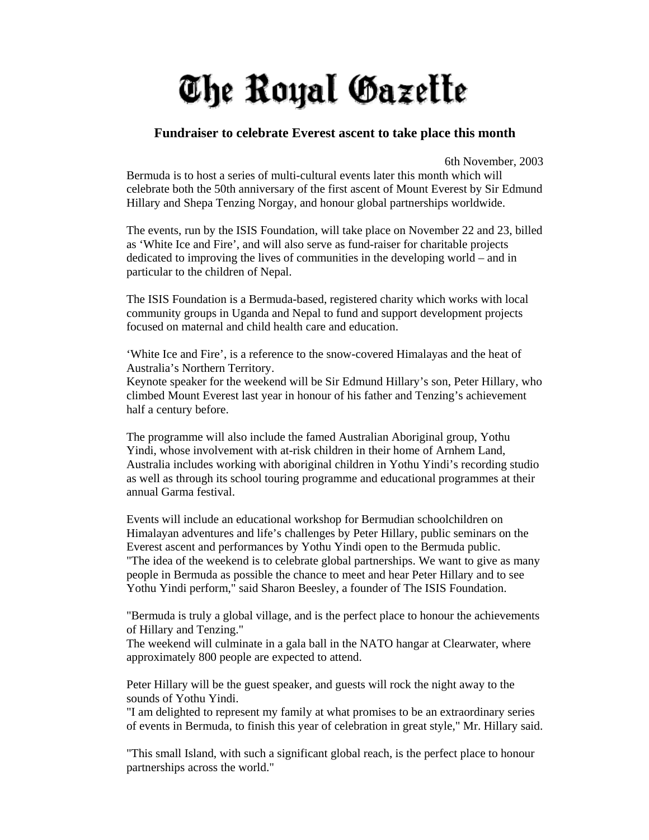## The Royal Gazette

## **Fundraiser to celebrate Everest ascent to take place this month**

6th November, 2003

Bermuda is to host a series of multi-cultural events later this month which will celebrate both the 50th anniversary of the first ascent of Mount Everest by Sir Edmund Hillary and Shepa Tenzing Norgay, and honour global partnerships worldwide.

The events, run by the ISIS Foundation, will take place on November 22 and 23, billed as 'White Ice and Fire', and will also serve as fund-raiser for charitable projects dedicated to improving the lives of communities in the developing world – and in particular to the children of Nepal.

The ISIS Foundation is a Bermuda-based, registered charity which works with local community groups in Uganda and Nepal to fund and support development projects focused on maternal and child health care and education.

'White Ice and Fire', is a reference to the snow-covered Himalayas and the heat of Australia's Northern Territory.

Keynote speaker for the weekend will be Sir Edmund Hillary's son, Peter Hillary, who climbed Mount Everest last year in honour of his father and Tenzing's achievement half a century before.

The programme will also include the famed Australian Aboriginal group, Yothu Yindi, whose involvement with at-risk children in their home of Arnhem Land, Australia includes working with aboriginal children in Yothu Yindi's recording studio as well as through its school touring programme and educational programmes at their annual Garma festival.

Events will include an educational workshop for Bermudian schoolchildren on Himalayan adventures and life's challenges by Peter Hillary, public seminars on the Everest ascent and performances by Yothu Yindi open to the Bermuda public. "The idea of the weekend is to celebrate global partnerships. We want to give as many people in Bermuda as possible the chance to meet and hear Peter Hillary and to see Yothu Yindi perform," said Sharon Beesley, a founder of The ISIS Foundation.

"Bermuda is truly a global village, and is the perfect place to honour the achievements of Hillary and Tenzing."

The weekend will culminate in a gala ball in the NATO hangar at Clearwater, where approximately 800 people are expected to attend.

Peter Hillary will be the guest speaker, and guests will rock the night away to the sounds of Yothu Yindi.

"I am delighted to represent my family at what promises to be an extraordinary series of events in Bermuda, to finish this year of celebration in great style," Mr. Hillary said.

"This small Island, with such a significant global reach, is the perfect place to honour partnerships across the world."